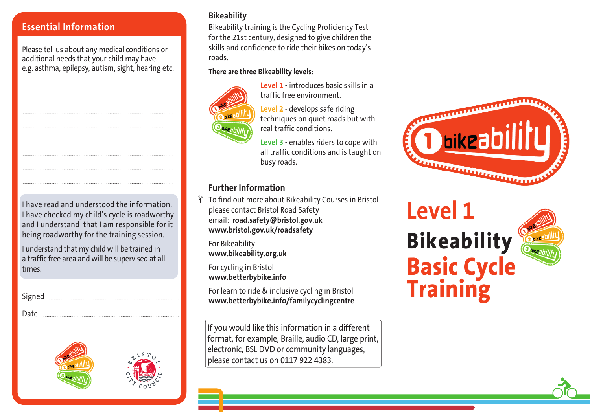#### **Essential Information**

Please tell us about any medical conditions or additional needs that your child may have. e.g. asthma, epilepsy, autism, sight, hearing etc.

I have read and understood the information. I have checked my child's cycle is roadworthy and I understand that I am responsible for it being roadworthy for the training session.

I understand that my child will be trained in a traffic free area and will be supervised at all times.

Signed **Manual** Date and the state of the state of the state of the state of the state of the state of the state of the state of the state of the state of the state of the state of the state of the state of the state of the state of the s





#### **Bikeability**

Bikeability training is the Cycling Proficiency Test for the 21st century, designed to give children the skills and confidence to ride their bikes on today's roads.

#### **There are three Bikeability levels:**



**Level 1** - introduces basic skills in a traffic free environment.

**Level 2** - develops safe riding techniques on quiet roads but with real traffic conditions.

**Level 3** - enables riders to cope with all traffic conditions and is taught on busy roads.

#### **Further Information**

.<br>!\

To find out more about Bikeability Courses in Bristol please contact Bristol Road Safety email: **road.safety@bristol.gov.uk www.bristol.gov.uk/roadsafety**

For Bikeability **www.bikeability.org.uk**

For cycling in Bristol **www.betterbybike.info**

For learn to ride & inclusive cycling in Bristol **www.betterbybike.info/familycyclingcentre**

If you would like this information in a different format, for example, Braille, audio CD, large print, electronic, BSL DVD or community languages, please contact us on 0117 922 4383.



# **Level 1 Bikeability Basic Cycle Training**